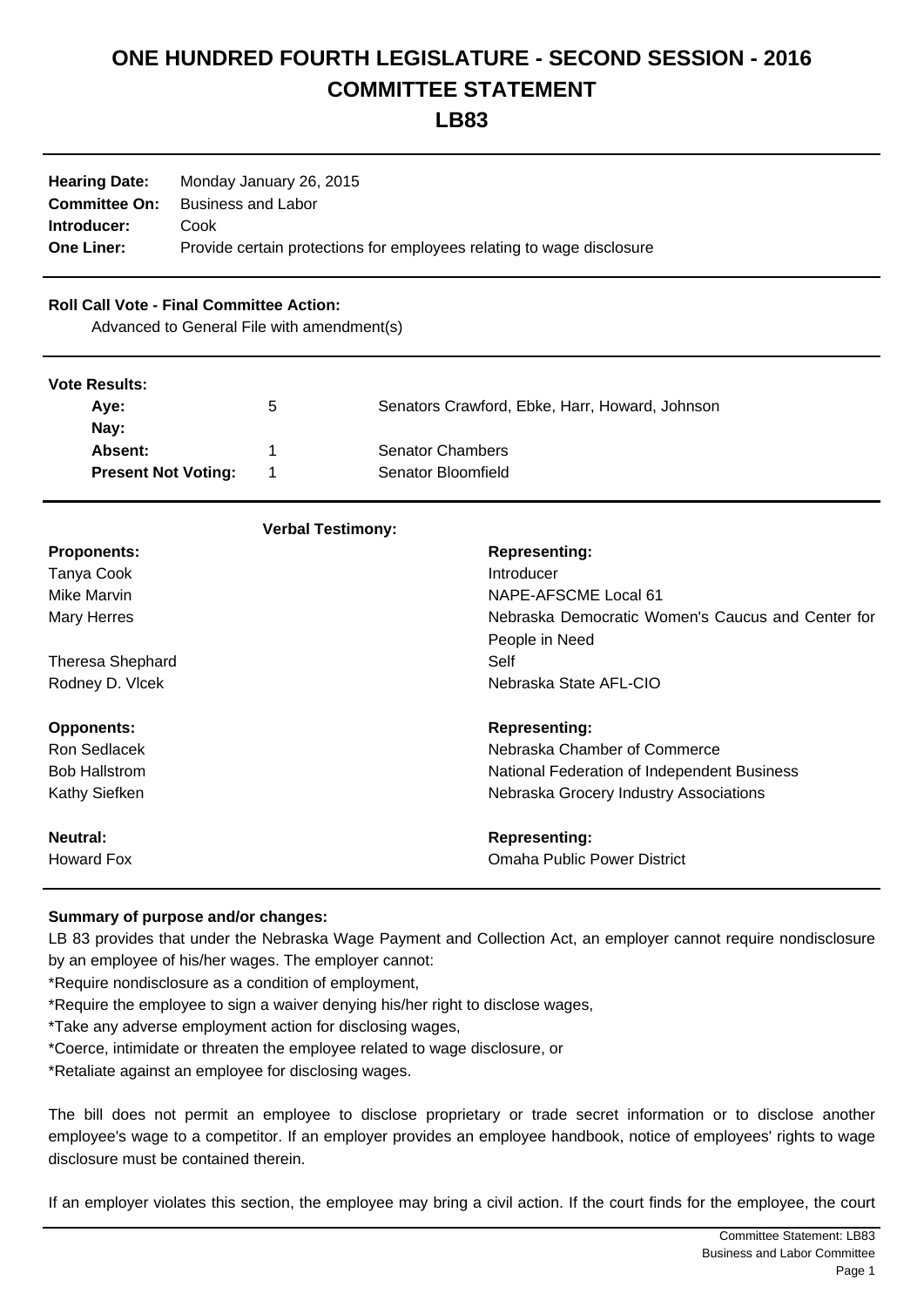# **ONE HUNDRED FOURTH LEGISLATURE - SECOND SESSION - 2016 COMMITTEE STATEMENT**

**LB83**

| <b>Hearing Date:</b> | Monday January 26, 2015                                               |
|----------------------|-----------------------------------------------------------------------|
| <b>Committee On:</b> | Business and Labor                                                    |
| Introducer:          | Cook                                                                  |
| <b>One Liner:</b>    | Provide certain protections for employees relating to wage disclosure |

#### **Roll Call Vote - Final Committee Action:**

Advanced to General File with amendment(s)

#### **Vote Results:**

| TULU INGJUHJ.              |   |                                                |
|----------------------------|---|------------------------------------------------|
| Ave:                       | b | Senators Crawford, Ebke, Harr, Howard, Johnson |
| Nav:                       |   |                                                |
| Absent:                    |   | <b>Senator Chambers</b>                        |
| <b>Present Not Voting:</b> |   | Senator Bloomfield                             |
|                            |   |                                                |

## **Verbal Testimony:**

| <b>Proponents:</b>      | <b>Representing:</b>                              |
|-------------------------|---------------------------------------------------|
| Tanya Cook              | Introducer                                        |
| Mike Marvin             | NAPE-AFSCME Local 61                              |
| <b>Mary Herres</b>      | Nebraska Democratic Women's Caucus and Center for |
|                         | People in Need                                    |
| <b>Theresa Shephard</b> | Self                                              |
| Rodney D. Vlcek         | Nebraska State AFL-CIO                            |
|                         |                                                   |
| <b>Opponents:</b>       | <b>Representing:</b>                              |
| Ron Sedlacek            | Nebraska Chamber of Commerce                      |
| <b>Bob Hallstrom</b>    | National Federation of Independent Business       |
| Kathy Siefken           | Nebraska Grocery Industry Associations            |
| <b>Neutral:</b>         | <b>Representing:</b>                              |
| <b>Howard Fox</b>       | <b>Omaha Public Power District</b>                |

#### **Summary of purpose and/or changes:**

LB 83 provides that under the Nebraska Wage Payment and Collection Act, an employer cannot require nondisclosure by an employee of his/her wages. The employer cannot:

\*Require nondisclosure as a condition of employment,

\*Require the employee to sign a waiver denying his/her right to disclose wages,

\*Take any adverse employment action for disclosing wages,

\*Coerce, intimidate or threaten the employee related to wage disclosure, or

\*Retaliate against an employee for disclosing wages.

The bill does not permit an employee to disclose proprietary or trade secret information or to disclose another employee's wage to a competitor. If an employer provides an employee handbook, notice of employees' rights to wage disclosure must be contained therein.

If an employer violates this section, the employee may bring a civil action. If the court finds for the employee, the court